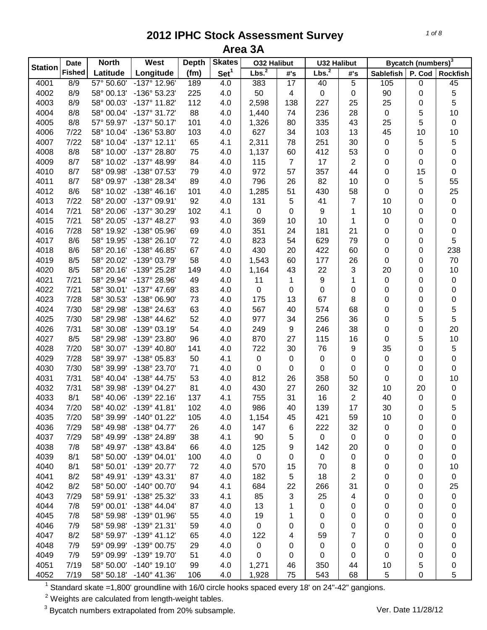|                | <b>Date</b>   | <b>North</b> | West                  | <b>Depth</b> | <b>Skates</b>    | <b>032 Halibut</b> |                | <b>U32 Halibut</b> |                |                  | Bycatch (numbers) <sup>3</sup> |                 |
|----------------|---------------|--------------|-----------------------|--------------|------------------|--------------------|----------------|--------------------|----------------|------------------|--------------------------------|-----------------|
| <b>Station</b> | <b>Fished</b> | Latitude     | Longitude             | (fm)         | Set <sup>1</sup> | Lbs. <sup>2</sup>  | #'s            | Lbs. <sup>2</sup>  | #'s            | <b>Sablefish</b> | P. Cod                         | <b>Rockfish</b> |
| 4001           | 8/9           | 57° 50.60'   | -137° 12.96'          | 189          | 4.0              | 383                | 17             | 40                 | 5              | 10 <sub>5</sub>  | $\mathbf 0$                    | 45              |
| 4002           | 8/9           | 58° 00.13'   | -136° 53.23'          | 225          | 4.0              | 50                 | 4              | $\mathbf 0$        | 0              | 90               | 0                              | 5               |
| 4003           | 8/9           | 58° 00.03'   | -137° 11.82'          | 112          | 4.0              | 2,598              | 138            | 227                | 25             | 25               | 0                              | 5               |
| 4004           | 8/8           | 58° 00.04'   | -137° 31.72'          | 88           | 4.0              | 1,440              | 74             | 236                | 28             | $\pmb{0}$        | 5                              | 10              |
| 4005           | 8/8           | 57° 59.97'   | $-137°50.17'$         | 101          | 4.0              | 1,326              | 80             | 335                | 43             | 25               | 5                              | $\pmb{0}$       |
| 4006           | 7/22          | 58° 10.04'   | -136° 53.80'          | 103          | 4.0              | 627                | 34             | 103                | 13             | 45               | 10                             | 10              |
| 4007           | 7/22          | 58° 10.04'   | $-137°$ 12.11'        | 65           | 4.1              | 2,311              | 78             | 251                | 30             | 0                | 5                              | 5               |
| 4008           | 8/8           | 58° 10.00'   | -137° 28.80'          | 75           | 4.0              | 1,137              | 60             | 412                | 53             | 0                | 0                              | 0               |
| 4009           | 8/7           | 58° 10.02'   | -137° 48.99'          | 84           | 4.0              | 115                | $\overline{7}$ | 17                 | $\overline{2}$ | 0                | 0                              | 0               |
| 4010           | 8/7           | 58° 09.98'   | -138° 07.53'          | 79           | 4.0              | 972                | 57             | 357                | 44             | 0                | 15                             | 0               |
| 4011           | 8/7           | 58° 09.97'   | -138° 28.34'          | 89           | 4.0              | 796                | 26             | 82                 | 10             | 0                | 5                              | 55              |
| 4012           | 8/6           | 58° 10.02'   | $-138^\circ 46.16'$   | 101          | 4.0              | 1,285              | 51             | 430                | 58             | 0                | 0                              | 25              |
| 4013           | 7/22          | 58° 20.00'   | -137° 09.91'          | 92           | 4.0              | 131                | 5              | 41                 | $\overline{7}$ | 10               | 0                              | $\pmb{0}$       |
| 4014           | 7/21          | 58° 20.06'   | -137° 30.29'          | 102          | 4.1              | $\mathbf 0$        | 0              | 9                  | 1              | 10               | 0                              | 0               |
| 4015           | 7/21          | 58° 20.05'   | $-137^{\circ}$ 48.27' | 93           | 4.0              | 369                | 10             | 10                 | 1              | 0                | 0                              | $\pmb{0}$       |
| 4016           | 7/28          | 58° 19.92'   | -138° 05.96'          | 69           | 4.0              | 351                | 24             | 181                | 21             | 0                | 0                              | $\pmb{0}$       |
| 4017           | 8/6           | 58° 19.95'   | -138° 26.10'          | 72           | 4.0              | 823                | 54             | 629                | 79             | 0                | 0                              | 5               |
| 4018           | 8/6           | 58° 20.16'   | -138° 46.85'          | 67           | 4.0              | 430                | 20             | 422                | 60             | 0                | 0                              | 238             |
| 4019           | 8/5           | 58° 20.02'   | -139° 03.79'          | 58           | 4.0              | 1,543              | 60             | 177                | 26             | 0                | 0                              | 70              |
| 4020           | 8/5           | 58° 20.16'   | -139° 25.28'          | 149          | 4.0              | 1,164              | 43             | 22                 | 3              | 20               | 0                              | 10              |
| 4021           | 7/21          | 58° 29.94'   | -137° 28.96'          | 49           | 4.0              | 11                 | 1              | 9                  | 1              | 0                | 0                              | $\pmb{0}$       |
| 4022           | 7/21          | 58° 30.01'   | -137° 47.69'          | 83           | 4.0              | 0                  | 0              | 0                  | 0              | 0                | 0                              | 0               |
| 4023           | 7/28          | 58° 30.53'   | -138° 06.90'          | 73           | 4.0              | 175                | 13             | 67                 | 8              | 0                | 0                              | $\pmb{0}$       |
| 4024           | 7/30          | 58° 29.98'   | -138° 24.63'          | 63           | 4.0              | 567                | 40             | 574                | 68             | 0                | 0                              | 5               |
| 4025           | 7/30          | 58° 29.98'   | -138° 44.62'          | 52           | 4.0              | 977                | 34             | 256                | 36             | 0                | 5                              | 5               |
| 4026           | 7/31          | 58° 30.08'   | -139° 03.19'          | 54           | 4.0              | 249                | 9              | 246                | 38             | 0                | 0                              | 20              |
| 4027           | 8/5           | 58° 29.98'   | -139° 23.80'          | 96           | 4.0              | 870                | 27             | 115                | 16             | 0                | 5                              | 10              |
| 4028           | 7/20          | 58° 30.07'   | -139° 40.80'          | 141          | 4.0              | 722                | 30             | 76                 | 9              | 35               | 0                              | 5               |
| 4029           | 7/28          | 58° 39.97'   | -138° 05.83'          | 50           | 4.1              | $\pmb{0}$          | 0              | 0                  | 0              | 0                | 0                              | 0               |
| 4030           | 7/30          | 58° 39.99'   | -138° 23.70'          | 71           | 4.0              | $\mathbf 0$        | 0              | 0                  | $\mathbf 0$    | 0                | 0                              | 0               |
| 4031           | 7/31          | 58° 40.04'   | -138° 44.75'          | 53           | 4.0              | 812                | 26             | 358                | 50             | 0                | 0                              | 10              |
| 4032           | 7/31          | 58° 39.98'   | -139° 04.27'          | 81           | 4.0              | 430                | 27             | 260                | 32             | 10               | 20                             | $\pmb{0}$       |
| 4033           | 8/1           | 58° 40.06'   | -139° 22.16'          | 137          | 4.1              | 755                | 31             | 16                 | $\overline{2}$ | 40               | 0                              | 0               |
| 4034           | 7/20          | 58° 40.02'   | $-139°$ 41.81'        | 102          | 4.0              | 986                | 40             | 139                | 17             | 30               | 0                              | 5               |
| 4035           | 7/20          | 58° 39.99'   | $-140^{\circ}$ 01.22  | 105          | 4.0              | 1,154              | 45             | 421                | 59             | 10               | 0                              | 0               |
| 4036           | 7/29          | 58° 49.98'   | -138° 04.77'          | 26           | 4.0              | 147                | 6              | 222                | 32             | 0                | 0                              | 0               |
| 4037           | 7/29          | 58° 49.99'   | -138° 24.89'          | 38           | 4.1              | 90                 | 5              | 0                  | 0              | 0                | 0                              | 0               |
| 4038           | 7/8           | 58° 49.97'   | -138° 43.84'          | 66           | 4.0              | 125                | 9              | 142                | 20             | 0                | 0                              | 0               |
| 4039           | 8/1           | 58° 50.00'   | -139° 04.01'          | 100          | 4.0              | $\mathbf 0$        | 0              | 0                  | 0              | 0                | 0                              | 0               |
| 4040           | 8/1           | 58° 50.01'   | -139° 20.77'          | 72           | 4.0              | 570                | 15             | 70                 | 8              | 0                | 0                              | 10              |
| 4041           | 8/2           | 58° 49.91'   | -139° 43.31'          | 87           | 4.0              | 182                | 5              | 18                 | 2              | 0                | 0                              | $\mathbf 0$     |
| 4042           | 8/2           | 58° 50.00'   | $-140^{\circ}$ 00.70' | 94           | 4.1              | 684                | 22             | 266                | 31             | 0                | 0                              | 25              |
| 4043           | 7/29          | 58° 59.91'   | -138° 25.32'          | 33           | 4.1              | 85                 | 3              | 25                 | 4              | 0                | 0                              | 0               |
| 4044           | 7/8           | 59° 00.01'   | -138° 44.04'          | 87           | 4.0              | 13                 | 1              | 0                  | 0              | 0                | 0                              | 0               |
| 4045           | 7/8           | 58° 59.98'   | -139° 01.96'          | 55           | 4.0              | 19                 | 1              | 0                  | 0              | 0                | 0                              | 0               |
| 4046           | 7/9           | 58° 59.98'   | -139° 21.31'          | 59           | 4.0              | $\mathbf 0$        | 0              | 0                  | 0              | 0                | 0                              | 0               |
| 4047           | 8/2           | 58° 59.97'   | $-139°$ 41.12'        | 65           | 4.0              | 122                | 4              | 59                 | 7              | 0                | 0                              | 0               |
| 4048           | 7/9           | 59° 09.99'   | -139° 00.75'          | 29           | 4.0              | $\pmb{0}$          | 0              | 0                  | $\pmb{0}$      | 0                | 0                              | 0               |
| 4049           | 7/9           | 59° 09.99'   | -139° 19.70'          | 51           | 4.0              | 0                  | 0              | 0                  | 0              | 0                | 0                              | 0               |
| 4051           | 7/19          | 58° 50.00'   | $-140^{\circ}$ 19.10' | 99           | 4.0              | 1,271              | 46             | 350                | 44             | 10               | 5                              | 0               |
| 4052           | 7/19          | 58° 50.18'   | $-140^{\circ}$ 41.36' | 106          | 4.0              | 1,928              | 75             | 543                | 68             | 5                | 0                              | 5               |

Standard skate =1,800' groundline with 16/0 circle hooks spaced every 18' on 24"-42" gangions.

Weights are calculated from length-weight tables.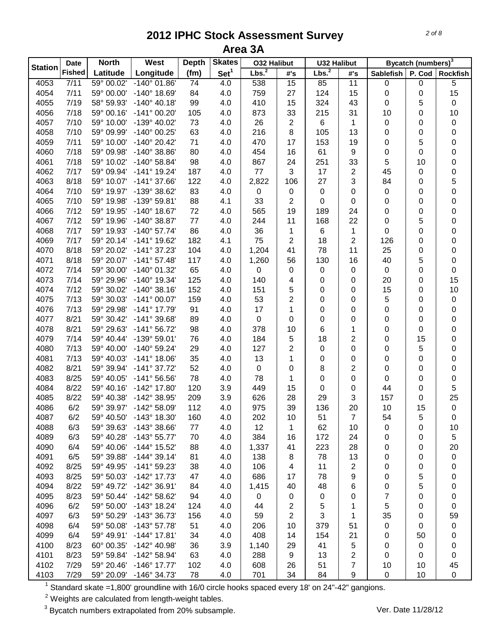|                | <b>Date</b>   | <b>North</b> | West                  | <b>Depth</b> | <b>Skates</b>    | <b>032 Halibut</b> |     | <b>U32 Halibut</b> |                |                  | Bycatch (numbers) <sup>3</sup> |                 |
|----------------|---------------|--------------|-----------------------|--------------|------------------|--------------------|-----|--------------------|----------------|------------------|--------------------------------|-----------------|
| <b>Station</b> | <b>Fished</b> | Latitude     | Longitude             | (fm)         | Set <sup>1</sup> | Lbs. <sup>2</sup>  | #'s | Lbs. <sup>2</sup>  | #'s            | <b>Sablefish</b> | P. Cod                         | <b>Rockfish</b> |
| 4053           | 7/11          | 59° 00.02'   | $-140^{\circ}$ 01.86' | 74           | 4.0              | 538                | 15  | 85                 | 11             | $\pmb{0}$        | $\pmb{0}$                      | 5               |
| 4054           | 7/11          | 59° 00.00'   | -140° 18.69'          | 84           | 4.0              | 759                | 27  | 124                | 15             | 0                | 0                              | 15              |
| 4055           | 7/19          | 58° 59.93'   | $-140^{\circ}$ 40.18' | 99           | 4.0              | 410                | 15  | 324                | 43             | 0                | 5                              | $\pmb{0}$       |
| 4056           | 7/18          | 59° 00.16'   | $-141°00.20'$         | 105          | 4.0              | 873                | 33  | 215                | 31             | 10               | 0                              | 10              |
| 4057           | 7/10          | 59° 10.00'   | -139° 40.02'          | 73           | 4.0              | 26                 | 2   | 6                  | 1              | 0                | 0                              | $\pmb{0}$       |
| 4058           | 7/10          | 59° 09.99'   | -140° 00.25'          | 63           | 4.0              | 216                | 8   | 105                | 13             | 0                | 0                              | $\mathbf 0$     |
| 4059           | 7/11          | 59° 10.00'   | -140° 20.42'          | 71           | 4.0              | 470                | 17  | 153                | 19             | 0                | 5                              | 0               |
| 4060           | 7/18          | 59° 09.98'   | $-140^{\circ}$ 38.86' | 80           | 4.0              | 454                | 16  | 61                 | 9              | 0                | 0                              | 0               |
| 4061           | 7/18          | 59° 10.02'   | -140° 58.84'          | 98           | 4.0              | 867                | 24  | 251                | 33             | 5                | 10                             | 0               |
| 4062           | 7/17          | 59° 09.94'   | -141° 19.24'          | 187          | 4.0              | 77                 | 3   | 17                 | $\overline{2}$ | 45               | 0                              | 0               |
| 4063           | 8/18          | 59° 10.07'   | -141° 37.66'          | 122          | 4.0              | 2,822              | 106 | 27                 | 3              | 84               | 0                              | 5               |
| 4064           | 7/10          | 59° 19.97'   | -139° 38.62'          | 83           | 4.0              | 0                  | 0   | $\pmb{0}$          | 0              | 0                | 0                              | 0               |
| 4065           | 7/10          | 59° 19.98'   | -139° 59.81'          | 88           | 4.1              | 33                 | 2   | 0                  | 0              | 0                | 0                              | 0               |
| 4066           | 7/12          | 59° 19.95'   | $-140^{\circ}$ 18.67' | 72           | 4.0              | 565                | 19  | 189                | 24             | 0                | 0                              | 0               |
| 4067           | 7/12          | 59° 19.96'   | -140° 38.87'          | 77           | 4.0              | 244                | 11  | 168                | 22             | 0                | 5                              | 0               |
| 4068           | 7/17          | 59° 19.93'   | $-140^{\circ}$ 57.74' | 86           | 4.0              | 36                 | 1   | $\,6\,$            | $\mathbf 1$    | 0                | 0                              | 0               |
| 4069           | 7/17          | 59° 20.14'   | $-141^{\circ}$ 19.62  | 182          | 4.1              | 75                 | 2   | 18                 | $\overline{2}$ | 126              | 0                              | 0               |
| 4070           | 8/18          | 59° 20.02'   | $-141°37.23'$         | 104          | 4.0              | 1,204              | 41  | 78                 | 11             | 25               | 0                              | 0               |
| 4071           | 8/18          | 59° 20.07'   | $-141°57.48'$         | 117          | 4.0              | 1,260              | 56  | 130                | 16             | 40               | 5                              | 0               |
| 4072           | 7/14          | 59° 30.00'   | -140° 01.32'          | 65           | 4.0              | 0                  | 0   | 0                  | $\pmb{0}$      | 0                | 0                              | $\mathsf 0$     |
| 4073           | 7/14          | 59° 29.96'   | -140° 19.34'          | 125          | 4.0              | 140                | 4   | 0                  | 0              | 20               | 0                              | 15              |
| 4074           | 7/12          | 59° 30.02'   | $-140^{\circ}$ 38.16' | 152          | 4.0              | 151                | 5   | 0                  | 0              | 15               | 0                              | 10              |
| 4075           | 7/13          | 59° 30.03'   | $-141°00.07'$         | 159          | 4.0              | 53                 | 2   | 0                  | 0              | 5                | 0                              | $\pmb{0}$       |
| 4076           | 7/13          | 59° 29.98'   | -141° 17.79'          | 91           | 4.0              | 17                 | 1   | 0                  | 0              | 0                | 0                              | 0               |
| 4077           | 8/21          | 59° 30.42'   | -141° 39.68'          | 89           | 4.0              | 0                  | 0   | 0                  | 0              | 0                | 0                              | 0               |
| 4078           | 8/21          | 59° 29.63'   | -141° 56.72'          | 98           | 4.0              | 378                | 10  | 6                  | 1              | 0                | 0                              | 0               |
| 4079           | 7/14          | 59° 40.44'   | -139° 59.01'          | 76           | 4.0              | 184                | 5   | 18                 | $\overline{2}$ | 0                | 15                             | 0               |
| 4080           | 7/13          | 59° 40.00'   | -140° 59.24'          | 29           | 4.0              | 127                | 2   | 0                  | 0              | 0                | 5                              | 0               |
| 4081           | 7/13          | 59° 40.03'   | $-141°$ 18.06'        | 35           | 4.0              | 13                 | 1   | 0                  | 0              | 0                | 0                              | 0               |
| 4082           | 8/21          | 59° 39.94'   | -141° 37.72'          | 52           | 4.0              | 0                  | 0   | 8                  | $\overline{c}$ | 0                | 0                              | 0               |
| 4083           | 8/25          | 59° 40.05'   | $-141°56.56'$         | 78           | 4.0              | 78                 | 1   | 0                  | 0              | 0                | 0                              | 0               |
| 4084           | 8/22          | 59° 40.16'   | -142° 17.80'          | 120          | 3.9              | 449                | 15  | 0                  | 0              | 44               | 0                              | 5               |
| 4085           | 8/22          | 59° 40.38'   | -142° 38.95'          | 209          | 3.9              | 626                | 28  | 29                 | 3              | 157              | 0                              | 25              |
| 4086           | 6/2           | 59° 39.97'   | -142° 58.09'          | 112          | 4.0              | 975                | 39  | 136                | 20             | 10               | 15                             | $\pmb{0}$       |
| 4087           | 6/2           | 59° 40.50'   | $-143^\circ$ 18.30    | 160          | 4.0              | 202                | 10  | 51                 | $\overline{7}$ | 54               | 5                              | 0               |
| 4088           | 6/3           | 59° 39.63'   | $-143^{\circ}38.66'$  | 77           | 4.0              | 12                 | 1   | 62                 | 10             | 0                | 0                              | 10              |
| 4089           | 6/3           | 59° 40.28'   | $-143°55.77'$         | 70           | 4.0              | 384                | 16  | 172                | 24             | 0                | 0                              | 5               |
| 4090           | 6/4           | 59° 40.06'   | -144° 15.52'          | 88           | 4.0              | 1,337              | 41  | 223                | 28             | 0                | 0                              | 20              |
| 4091           | 6/5           | 59° 39.88'   | $-144^{\circ}$ 39.14' | 81           | 4.0              | 138                | 8   | 78                 | 13             | 0                | 0                              | $\pmb{0}$       |
| 4092           | 8/25          | 59° 49.95'   | $-141^{\circ}59.23'$  | 38           | 4.0              | 106                | 4   | 11                 | 2              | 0                | 0                              | 0               |
| 4093           | 8/25          | 59° 50.03'   | -142° 17.73'          | 47           | 4.0              | 686                | 17  | 78                 | 9              | 0                | 5                              | 0               |
| 4094           | 8/22          | 59° 49.72'   | $-142^{\circ}36.91'$  | 84           | 4.0              | 1,415              | 40  | 48                 | 6              | 0                | 5                              | 0               |
| 4095           | 8/23          | 59° 50.44'   | -142° 58.62'          | 94           | 4.0              | 0                  | 0   | 0                  | 0              | 7                | 0                              | 0               |
| 4096           | 6/2           | 59° 50.00'   | $-143°$ 18.24'        | 124          | 4.0              | 44                 | 2   | 5                  | 1              | 5                | 0                              | 0               |
| 4097           | 6/3           | 59° 50.29'   | -143° 36.73'          | 156          | 4.0              | 59                 | 2   | 3                  | 1              | 35               | 0                              | 59              |
| 4098           | 6/4           | 59° 50.08'   | $-143°57.78'$         | 51           | 4.0              | 206                | 10  | 379                | 51             | 0                | 0                              | 0               |
| 4099           | 6/4           | 59° 49.91'   | $-144^{\circ}$ 17.81' | 34           | 4.0              | 408                | 14  | 154                | 21             | 0                | 50                             | 0               |
| 4100           | 8/23          | 60° 00.35'   | $-142^{\circ}$ 40.98' | 36           | 3.9              | 1,140              | 29  | 41                 | 5              | 0                | 0                              | 0               |
| 4101           | 8/23          | 59° 59.84'   | -142° 58.94'          | 63           | 4.0              | 288                | 9   | 13                 | 2              | 0                | 0                              | 0               |
| 4102           | 7/29          | 59° 20.46'   | $-146^{\circ}$ 17.77' | 102          | 4.0              | 608                | 26  | 51                 | 7              | 10               | 10                             | 45              |
| 4103           | 7/29          | 59° 20.09'   | -146° 34.73'          | 78           | 4.0              | 701                | 34  | 84                 | 9              | $\pmb{0}$        | 10                             | 0               |

Standard skate =1,800' groundline with 16/0 circle hooks spaced every 18' on 24"-42" gangions.

Weights are calculated from length-weight tables.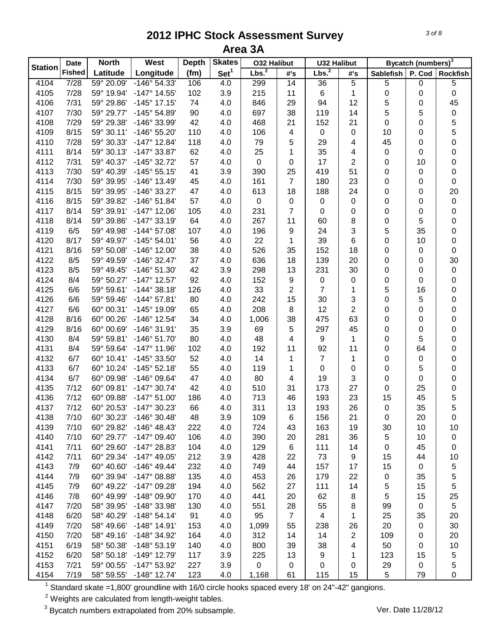|                | <b>Date</b>   | <b>North</b>             | West                                 | <b>Depth</b> | <b>Skates</b>    | <b>032 Halibut</b> |                | <b>U32 Halibut</b>      |                |                  | Bycatch (numbers) <sup>3</sup> |                 |
|----------------|---------------|--------------------------|--------------------------------------|--------------|------------------|--------------------|----------------|-------------------------|----------------|------------------|--------------------------------|-----------------|
| <b>Station</b> | <b>Fished</b> | Latitude                 | Longitude                            | (fm)         | Set <sup>1</sup> | Lbs. <sup>2</sup>  | #'s            | Lbs. <sup>2</sup>       | #'s            | <b>Sablefish</b> | P. Cod                         | <b>Rockfish</b> |
| 4104           | 7/28          | 59° 20.09'               | -146° 54.33'                         | 106          | 4.0              | 299                | 14             | 36                      | 5              | 5                | 0                              | 5               |
| 4105           | 7/28          | 59° 19.94'               | $-147^{\circ}$ 14.55'                | 102          | 3.9              | 215                | 11             | 6                       | 1              | 0                | 0                              | $\pmb{0}$       |
| 4106           | 7/31          | 59° 29.86'               | $-145^{\circ}$ 17.15'                | 74           | 4.0              | 846                | 29             | 94                      | 12             | 5                | 0                              | 45              |
| 4107           | 7/30          | 59° 29.77'               | -145° 54.89'                         | 90           | 4.0              | 697                | 38             | 119                     | 14             | 5                | 5                              | $\pmb{0}$       |
| 4108           | 7/29          | 59° 29.38'               | -146° 33.99'                         | 42           | 4.0              | 468                | 21             | 152                     | 21             | 0                | 0                              | 5               |
| 4109           | 8/15          | 59° 30.11'               | -146° 55.20'                         | 110          | 4.0              | 106                | 4              | $\mathbf 0$             | $\pmb{0}$      | 10               | 0                              | 5               |
| 4110           | 7/28          | 59° 30.33'               | $-147^{\circ}$ 12.84'                | 118          | 4.0              | 79                 | 5              | 29                      | 4              | 45               | 0                              | 0               |
| 4111           | 8/14          | 59° 30.13'               | -147° 33.87'                         | 62           | 4.0              | 25                 | 1              | 35                      | 4              | 0                | 0                              | 0               |
| 4112           | 7/31          | 59° 40.37'               | -145° 32.72'                         | 57           | 4.0              | $\pmb{0}$          | 0              | 17                      | 2              | 0                | 10                             | 0               |
| 4113           | 7/30          | 59° 40.39'               | $-145°55.15'$                        | 41           | 3.9              | 390                | 25             | 419                     | 51             | 0                | 0                              | 0               |
| 4114           | 7/30          | 59° 39.95'               | $-146^\circ$ 13.49                   | 45           | 4.0              | 161                | $\overline{7}$ | 180                     | 23             | 0                | 0                              | 0               |
| 4115           | 8/15          | 59° 39.95'               | -146° 33.27'                         | 47           | 4.0              | 613                | 18             | 188                     | 24             | 0                | 0                              | 20              |
| 4116           | 8/15          | 59° 39.82'               | $-146°51.84'$                        | 57           | 4.0              | $\mathsf 0$        | 0              | 0                       | $\pmb{0}$      | 0                | 0                              | $\pmb{0}$       |
| 4117           | 8/14          | 59° 39.91'               | $-147^{\circ}$ 12.06'                | 105          | 4.0              | 231                | 7              | 0                       | $\pmb{0}$      | 0                | 0                              | 0               |
| 4118           | 8/14          | 59° 39.86'               | $-147°33.19'$                        | 64           | 4.0              | 267                | 11             | 60                      | 8              | 0                | 5                              | 0               |
| 4119           | 6/5           | 59° 49.98'               | $-144^{\circ}$ 57.08'                | 107          | 4.0              | 196                | 9              | 24                      | 3              | 5                | 35                             | $\pmb{0}$       |
| 4120           | 8/17          | 59° 49.97'               | $-145^{\circ} 54.01'$                | 56           | 4.0              | 22                 | 1              | 39                      | $\,6$          | 0                | 10                             | $\pmb{0}$       |
| 4121           | 8/16          | 59° 50.08'               | -146° 12.00'                         | 38           | 4.0              | 526                | 35             | 152                     | 18             | 0                | 0                              | 0               |
| 4122           | 8/5           | 59° 49.59'               | $-146°32.47'$                        | 37           | 4.0              | 636                | 18             | 139                     | 20             | 0                | 0                              | 30              |
| 4123           | 8/5           | 59° 49.45'               | -146° 51.30'                         | 42           | 3.9              | 298                | 13             | 231                     | 30             | 0                | 0                              | $\pmb{0}$       |
| 4124           | 8/4           | 59° 50.27'               | $-147^{\circ}$ 12.57'                | 92           | 4.0              | 152                | 9              | $\mathbf 0$             | 0              | 0                | 0                              | 0               |
| 4125           | 6/6           | 59° 59.61'               | $-144^{\circ}$ 38.18'                | 126          | 4.0              | 33                 | 2              | $\overline{7}$          | 1              | 5                | 16                             | 0               |
| 4126           | 6/6           | 59° 59.46'               | $-144^{\circ}57.81'$                 | 80           | 4.0              | 242                | 15             | 30                      | 3              | 0                | 5                              | 0               |
| 4127           | 6/6           | 60° 00.31'               | -145° 19.09'                         | 65           | 4.0              | 208                | 8              | 12                      | $\overline{2}$ | 0                | 0                              | 0               |
| 4128           | 8/16          | 60° 00.26'               | -146° 12.54'                         | 34           | 4.0              | 1,006              | 38             | 475                     | 63             | 0                | 0                              | 0               |
| 4129           | 8/16          | 60° 00.69'               | -146° 31.91'                         | 35           | 3.9              | 69                 | 5              | 297                     | 45             | 0                | 0                              | 0               |
| 4130           | 8/4           | 59° 59.81'               | $-146°51.70'$                        | 80           | 4.0              | 48                 | 4              | 9                       | 1              | 0                | 5                              | 0               |
| 4131           | 8/4           | 59° 59.64'               | $-147°$ 11.96'                       | 102          | 4.0              | 192                | 11             | 92                      | 11             | 0                | 64                             | 0               |
| 4132           | 6/7           | 60° 10.41'               | -145° 33.50'                         | 52           | 4.0              | 14                 | 1              | $\overline{7}$          | 1              | 0                | 0                              | 0               |
| 4133           | 6/7           | 60° 10.24'               | $-145°52.18'$                        | 55           | 4.0              | 119                | 1              | 0                       | 0              | 0                | 5                              | 0               |
| 4134           | 6/7           | 60° 09.98'               | -146° 09.64'                         | 47           | 4.0              | 80                 | 4              | 19                      | 3              | 0                | 0                              | 0               |
| 4135           | 7/12          | 60° 09.81'               | $-147°30.74'$                        | 42           | 4.0              | 510                | 31             | 173                     | 27             | 0                | 25                             | 0               |
| 4136           | 7/12          | 60° 09.88'               | $-147°51.00'$                        | 186          | 4.0              | 713                | 46             | 193                     | 23             | 15               | 45                             | 5               |
| 4137           | 7/12          | 60° 20.53'               | $-147°30.23'$                        | 66           | 4.0              | 311                | 13             | 193                     | 26             | $\mathbf 0$      | 35                             | 5               |
| 4138           | 7/10          | 60° 30.23'               | $-146°30.48'$                        | 48           | 3.9              | 109                | 6              | 156                     | 21             | 0                | 20                             | 0               |
| 4139           | 7/10          | 60° 29.82'               | $-146^{\circ}$ 48.43'                | 222          | 4.0              | 724                | 43             | 163                     | 19             | 30               | 10                             | 10              |
| 4140           | 7/10          | 60° 29.77'               | $-147^{\circ}$ 09.40                 | 106          | 4.0              | 390                | 20             | 281                     | 36             | 5                | 10                             | $\pmb{0}$       |
| 4141           | 7/11          | 60° 29.60'               | -147° 28.83'                         | 104          | 4.0              | 129                | 6              | 111                     | 14             | 0                | 45                             | 0               |
| 4142           | 7/11          | 60° 29.34'               | $-147^{\circ}$ 49.05'                | 212          | 3.9              | 428                | 22             | 73                      | 9              | 15               | 44                             | 10              |
| 4143           | 7/9           | 60° 40.60'               | $-146^{\circ}$ 49.44'                | 232          | 4.0              | 749                | 44             | 157                     | 17             | 15               | 0                              | 5               |
| 4144           | 7/9           | 60° 39.94'               | $-147^{\circ}$ 08.88'                | 135          | 4.0              | 453                | 26             | 179                     | 22             | 0                | 35                             | 5               |
| 4145           | 7/9           | 60° 49.22'               | -147° 09.28'                         | 194          | 4.0              | 562                | 27             | 111                     | 14             | 5                | 15                             | 5               |
| 4146           | 7/8           | 60° 49.99'               | -148° 09.90'                         | 170          | 4.0              | 441                | 20             | 62                      | 8              | 5                | 15                             | 25              |
| 4147           | 7/20          | 58° 39.95'               | -148° 33.98'                         | 130          | 4.0              | 551                | 28             | 55                      | 8              | 99               | 0                              | 5               |
|                |               |                          |                                      |              |                  |                    | $\overline{7}$ | $\overline{\mathbf{4}}$ |                |                  |                                |                 |
| 4148           | 6/20<br>7/20  | 58° 40.29'<br>58° 49.66' | $-148°54.14'$<br>$-148^\circ$ 14.91' | 91           | 4.0              | 95                 |                |                         | 1              | 25<br>20         | 35                             | 20<br>30        |
| 4149           |               |                          |                                      | 153          | 4.0              | 1,099              | 55             | 238                     | 26             |                  | 0                              |                 |
| 4150           | 7/20          | 58° 49.16'               | -148° 34.92'                         | 164          | 4.0              | 312                | 14             | 14                      | $\overline{2}$ | 109              | 0                              | 20              |
| 4151           | 6/19          | 58° 50.38'               | $-148°53.19'$                        | 140          | 4.0              | 800                | 39             | 38                      | 4              | 50               | 0                              | 10              |
| 4152           | 6/20          | 58° 50.18'               | $-149°$ 12.79                        | 117          | 3.9              | 225                | 13             | 9                       | 1              | 123              | 15                             | 5               |
| 4153           | 7/21          | 59° 00.55'               | -147° 53.92'                         | 227          | 3.9              | $\mathbf 0$        | 0              | 0                       | 0              | 29               | 0                              | 5               |
| 4154           | 7/19          | 58° 59.55'               | $-148°$ 12.74'                       | 123          | 4.0              | 1,168              | 61             | 115                     | 15             | 5                | 79                             | 0               |

Standard skate =1,800' groundline with 16/0 circle hooks spaced every 18' on 24"-42" gangions.

Weights are calculated from length-weight tables.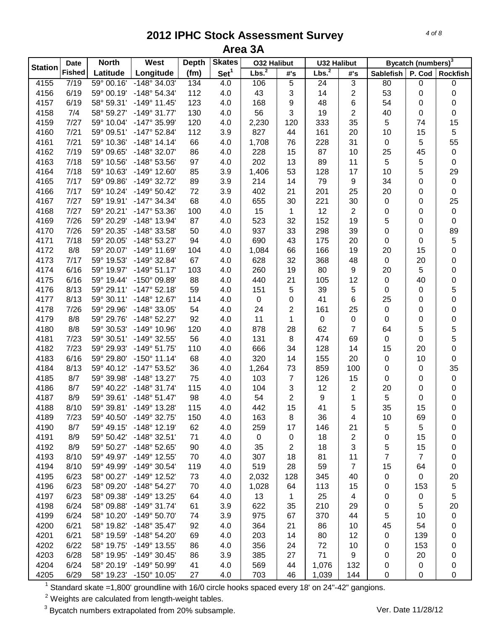|                | <b>Date</b>   | <b>North</b> | West                  | <b>Depth</b> | <b>Skates</b>    | <b>032 Halibut</b> |                | <b>U32 Halibut</b> |                  |                  | Bycatch (numbers) <sup>3</sup> |                 |
|----------------|---------------|--------------|-----------------------|--------------|------------------|--------------------|----------------|--------------------|------------------|------------------|--------------------------------|-----------------|
| <b>Station</b> | <b>Fished</b> | Latitude     | Longitude             | (fm)         | Set <sup>1</sup> | Lbs. <sup>2</sup>  | #'s            | Lbs. <sup>2</sup>  | #'s              | <b>Sablefish</b> | P. Cod                         | <b>Rockfish</b> |
| 4155           | 7/19          | 59° 00.16'   | -148° 34.03'          | 134          | 4.0              | 106                | 5              | 24                 | $\sqrt{3}$       | 80               | 0                              | 0               |
| 4156           | 6/19          | 59° 00.19'   | -148° 54.34'          | 112          | 4.0              | 43                 | 3              | 14                 | $\overline{2}$   | 53               | 0                              | 0               |
| 4157           | 6/19          | 58° 59.31'   | $-149°$ 11.45         | 123          | 4.0              | 168                | 9              | 48                 | 6                | 54               | 0                              | 0               |
| 4158           | 7/4           | 58° 59.27'   | $-149°31.77'$         | 130          | 4.0              | 56                 | 3              | 19                 | $\overline{2}$   | 40               | 0                              | $\pmb{0}$       |
| 4159           | 7/27          | 59° 10.04'   | -147° 35.99'          | 120          | 4.0              | 2,230              | 120            | 333                | 35               | 5                | 74                             | 15              |
| 4160           | 7/21          | 59° 09.51'   | $-147^{\circ}$ 52.84' | 112          | 3.9              | 827                | 44             | 161                | 20               | 10               | 15                             | $\mathbf 5$     |
| 4161           | 7/21          | 59° 10.36'   | $-148°$ 14.14'        | 66           | 4.0              | 1,708              | 76             | 228                | 31               | $\pmb{0}$        | 5                              | 55              |
| 4162           | 7/19          | 59° 09.65'   | -148° 32.07'          | 86           | 4.0              | 228                | 15             | 87                 | 10               | 25               | 45                             | $\pmb{0}$       |
| 4163           | 7/18          | 59° 10.56'   | -148° 53.56'          | 97           | 4.0              | 202                | 13             | 89                 | 11               | 5                | 5                              | 0               |
| 4164           | 7/18          | 59° 10.63'   | -149° 12.60'          | 85           | 3.9              | 1,406              | 53             | 128                | 17               | 10               | 5                              | 29              |
| 4165           | 7/17          | 59° 09.86'   | -149° 32.72'          | 89           | 3.9              | 214                | 14             | 79                 | $\boldsymbol{9}$ | 34               | 0                              | $\pmb{0}$       |
| 4166           | 7/17          | 59° 10.24'   | -149° 50.42'          | 72           | 3.9              | 402                | 21             | 201                | 25               | 20               | 0                              | $\pmb{0}$       |
| 4167           | 7/27          | 59° 19.91'   | $-147°34.34'$         | 68           | 4.0              | 655                | 30             | 221                | 30               | 0                | 0                              | 25              |
| 4168           | 7/27          | 59° 20.21'   | -147° 53.36'          | 100          | 4.0              | 15                 | $\mathbf{1}$   | 12                 | $\sqrt{2}$       | 0                | 0                              | $\pmb{0}$       |
| 4169           | 7/26          | 59° 20.29'   | -148° 13.94'          | 87           | 4.0              | 523                | 32             | 152                | 19               | 5                | 0                              | $\pmb{0}$       |
| 4170           | 7/26          | 59° 20.35'   | -148° 33.58'          | 50           | 4.0              | 937                | 33             | 298                | 39               | 0                | 0                              | 89              |
| 4171           | 7/18          | 59° 20.05'   | -148° 53.27'          | 94           | 4.0              | 690                | 43             | 175                | 20               | 0                | 0                              | $\sqrt{5}$      |
| 4172           | 8/8           | 59° 20.07'   | -149° 11.69'          | 104          | 4.0              | 1,084              | 66             | 166                | 19               | 20               | 15                             | 0               |
| 4173           | 7/17          | 59° 19.53'   | -149° 32.84'          | 67           | 4.0              | 628                | 32             | 368                | 48               | $\pmb{0}$        | 20                             | 0               |
| 4174           | 6/16          | 59° 19.97'   | $-149°51.17'$         | 103          | 4.0              | 260                | 19             | 80                 | 9                | 20               | 5                              | 0               |
| 4175           | 6/16          | 59° 19.44'   | -150° 09.89'          | 88           | 4.0              | 440                | 21             | 105                | 12               | $\pmb{0}$        | 40                             | 0               |
| 4176           | 8/13          | 59° 29.11'   | $-147°52.18'$         | 59           | 4.0              | 151                | 5              | 39                 | 5                | 0                | 0                              | 5               |
| 4177           | 8/13          | 59° 30.11'   | -148° 12.67'          | 114          | 4.0              | $\mathsf 0$        | 0              | 41                 | 6                | 25               | 0                              | $\mathbf 0$     |
| 4178           | 7/26          | 59° 29.96'   | -148° 33.05'          | 54           | 4.0              | 24                 | 2              | 161                | 25               | $\pmb{0}$        | 0                              | 0               |
| 4179           | 8/8           | 59° 29.76'   | -148° 52.27'          | 92           | 4.0              | 11                 | 1              | $\pmb{0}$          | $\mathbf 0$      | 0                | 0                              | $\mathbf 0$     |
| 4180           | 8/8           | 59° 30.53'   | -149° 10.96'          | 120          | 4.0              | 878                | 28             | 62                 | $\overline{7}$   | 64               | 5                              | 5               |
| 4181           | 7/23          | 59° 30.51'   | -149° 32.55'          | 56           | 4.0              | 131                | 8              | 474                | 69               | 0                | 0                              | 5               |
| 4182           | 7/23          | 59° 29.93'   | $-149°51.75'$         | 110          | 4.0              | 666                | 34             | 128                | 14               | 15               | 20                             | 0               |
| 4183           | 6/16          | 59° 29.80'   | $-150^{\circ}$ 11.14' | 68           | 4.0              | 320                | 14             | 155                | 20               | 0                | 10                             | 0               |
| 4184           | 8/13          | 59° 40.12'   | -147° 53.52'          | 36           | 4.0              | 1,264              | 73             | 859                | 100              | 0                | 0                              | 35              |
| 4185           | 8/7           | 59° 39.98'   | -148° 13.27'          | 75           | 4.0              | 103                | $\overline{7}$ | 126                | 15               | 0                | 0                              | $\pmb{0}$       |
| 4186           | 8/7           | 59° 40.22'   | $-148°31.74'$         | 115          | 4.0              | 104                | 3              | 12                 | $\overline{c}$   | 20               | 0                              | $\pmb{0}$       |
| 4187           | 8/9           | 59° 39.61'   | $-148°51.47'$         | 98           | 4.0              | 54                 | 2              | 9                  | 1                | 5                | 0                              | 0               |
| 4188           | 8/10          | 59° 39.81'   | -149° 13.28'          | 115          | 4.0              | 442                | 15             | 41                 | 5                | 35               | 15                             | $\mathbf 0$     |
| 4189           | 7/23          | 59° 40.50'   | -149° 32.75'          | 150          | 4.0              | 163                | 8              | 36                 | 4                | 10               | 69                             | 0               |
| 4190           | 8/7           | 59° 49.15'   | $-148^\circ$ 12.19'   | 62           | 4.0              | 259                | 17             | 146                | 21               | 5                | 5                              | 0               |
| 4191           | 8/9           | 59° 50.42'   | $-148°32.51'$         | 71           | 4.0              | 0                  | 0              | 18                 | $\overline{c}$   | 0                | 15                             | 0               |
| 4192           | 8/9           | 59° 50.27'   | -148° 52.65'          | 90           | 4.0              | 35                 | 2              | 18                 | 3                | 5                | 15                             | 0               |
| 4193           | 8/10          | 59° 49.97'   | -149° 12.55'          | 70           | 4.0              | 307                | 18             | 81                 | 11               | $\overline{7}$   | $\overline{7}$                 | 0               |
| 4194           | 8/10          | 59° 49.99'   | -149° 30.54'          | 119          | 4.0              | 519                | 28             | 59                 | $\overline{7}$   | 15               | 64                             | 0               |
| 4195           | 6/23          | 58° 00.27'   | -149° 12.52'          | 73           | 4.0              | 2,032              | 128            | 345                | 40               | 0                | 0                              | 20              |
| 4196           | 6/23          | 58° 09.20'   | $-148°54.27'$         | 70           | 4.0              | 1,028              | 64             | 113                | 15               | 0                | 153                            | 5               |
| 4197           | 6/23          | 58° 09.38'   | -149° 13.25'          | 64           | 4.0              | 13                 | 1              | 25                 | $\overline{4}$   | 0                | 0                              | 5               |
| 4198           | 6/24          | 58° 09.88'   | $-149°31.74'$         | 61           | 3.9              | 622                | 35             | 210                | 29               | 0                | 5                              | 20              |
| 4199           | 6/24          | 58° 10.20'   | -149° 50.70'          | 74           | 3.9              | 975                | 67             | 370                | 44               | 5                | 10                             | 0               |
| 4200           | 6/21          | 58° 19.82'   | $-148°35.47'$         | 92           | 4.0              | 364                | 21             | 86                 | 10               | 45               | 54                             | 0               |
| 4201           | 6/21          | 58° 19.59'   | $-148°54.20'$         | 69           | 4.0              | 203                | 14             | 80                 | 12               | 0                | 139                            | 0               |
| 4202           | 6/22          | 58° 19.75'   | -149° 13.55'          | 86           | 4.0              | 356                | 24             | 72                 | 10               | 0                | 153                            | 0               |
| 4203           | 6/28          | 58° 19.95'   | -149° 30.45'          | 86           | 3.9              | 385                | 27             | 71                 | 9                | 0                | 20                             | 0               |
| 4204           | 6/24          | 58° 20.19'   | -149° 50.99'          | 41           | 4.0              | 569                | 44             | 1,076              | 132              | 0                | 0                              | 0               |
| 4205           | 6/29          | 58° 19.23'   | $-150^{\circ}$ 10.05' | 27           | 4.0              | 703                | 46             | 1,039              | 144              | 0                | 0                              | $\pmb{0}$       |

Standard skate =1,800' groundline with 16/0 circle hooks spaced every 18' on 24"-42" gangions.

Weights are calculated from length-weight tables.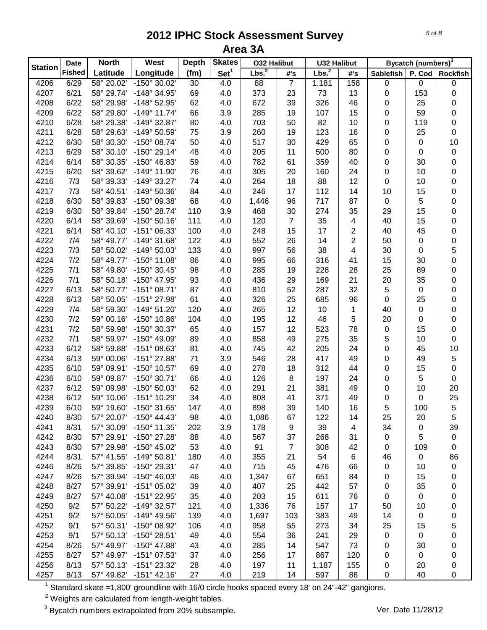|                | <b>Date</b>   | <b>North</b> | West                  | <b>Depth</b> | <b>Skates</b>    | <b>032 Halibut</b> |                | <b>U32 Halibut</b> |                         |                  | Bycatch (numbers) <sup>3</sup> |                 |
|----------------|---------------|--------------|-----------------------|--------------|------------------|--------------------|----------------|--------------------|-------------------------|------------------|--------------------------------|-----------------|
| <b>Station</b> | <b>Fished</b> | Latitude     | Longitude             | (fm)         | Set <sup>1</sup> | Lbs. <sup>2</sup>  | #'s            | Lbs. <sup>2</sup>  | #'s                     | <b>Sablefish</b> | P. Cod                         | <b>Rockfish</b> |
| 4206           | 6/29          | 58° 20.02'   | $-150^{\circ}$ 30.02' | 30           | 4.0              | 88                 | $\overline{7}$ | 1,181              | 158                     | $\pmb{0}$        | $\overline{0}$                 | $\pmb{0}$       |
| 4207           | 6/21          | 58° 29.74'   | -148° 34.95'          | 69           | 4.0              | 373                | 23             | 73                 | 13                      | 0                | 153                            | 0               |
| 4208           | 6/22          | 58° 29.98'   | -148° 52.95'          | 62           | 4.0              | 672                | 39             | 326                | 46                      | 0                | 25                             | 0               |
| 4209           | 6/22          | 58° 29.80'   | $-149°$ 11.74'        | 66           | 3.9              | 285                | 19             | 107                | 15                      | 0                | 59                             | $\pmb{0}$       |
| 4210           | 6/28          | 58° 29.38'   | -149° 32.87'          | 80           | 4.0              | 703                | 50             | 82                 | 10                      | 0                | 119                            | 0               |
| 4211           | 6/28          | 58° 29.63'   | -149° 50.59'          | 75           | 3.9              | 260                | 19             | 123                | 16                      | 0                | 25                             | 0               |
| 4212           | 6/30          | 58° 30.30'   | -150° 08.74'          | 50           | 4.0              | 517                | 30             | 429                | 65                      | 0                | 0                              | 10              |
| 4213           | 6/29          | 58° 30.10'   | -150° 29.14'          | 48           | 4.0              | 205                | 11             | 500                | 80                      | 0                | 0                              | $\pmb{0}$       |
| 4214           | 6/14          | 58° 30.35'   | -150° 46.83'          | 59           | 4.0              | 782                | 61             | 359                | 40                      | 0                | 30                             | 0               |
| 4215           | 6/20          | 58° 39.62'   | -149° 11.90'          | 76           | 4.0              | 305                | 20             | 160                | 24                      | 0                | 10                             | 0               |
| 4216           | 7/3           | 58° 39.33'   | -149° 33.27'          | 74           | 4.0              | 264                | 18             | 88                 | 12                      | 0                | 10                             | 0               |
| 4217           | 7/3           | 58° 40.51'   | -149° 50.36'          | 84           | 4.0              | 246                | 17             | 112                | 14                      | 10               | 15                             | 0               |
| 4218           | 6/30          | 58° 39.83'   | -150° 09.38'          | 68           | 4.0              | 1,446              | 96             | 717                | 87                      | 0                | 5                              | 0               |
| 4219           | 6/30          | 58° 39.84'   | -150° 28.74'          | 110          | 3.9              | 468                | 30             | 274                | 35                      | 29               | 15                             | 0               |
| 4220           | 6/14          | 58° 39.69'   | $-150^{\circ} 50.16'$ | 111          | 4.0              | 120                | $\overline{7}$ | 35                 | 4                       | 40               | 15                             | 0               |
| 4221           | 6/14          | 58° 40.10'   | -151° 06.33'          | 100          | 4.0              | 248                | 15             | 17                 | $\overline{c}$          | 40               | 45                             | 0               |
| 4222           | 7/4           | 58° 49.77'   | -149° 31.68'          | 122          | 4.0              | 552                | 26             | 14                 | $\overline{2}$          | 50               | 0                              | 0               |
| 4223           | 7/3           | 58° 50.02'   | -149° 50.03'          | 133          | 4.0              | 997                | 56             | 38                 | $\overline{\mathbf{4}}$ | 30               | 0                              | 5               |
| 4224           | 7/2           | 58° 49.77'   | $-150^{\circ}$ 11.08' | 86           | 4.0              | 995                | 66             | 316                | 41                      | 15               | 30                             | 0               |
| 4225           | 7/1           | 58° 49.80'   | -150° 30.45'          | 98           | 4.0              | 285                | 19             | 228                | 28                      | 25               | 89                             | 0               |
| 4226           | 7/1           | 58° 50.18'   | -150° 47.95'          | 93           | 4.0              | 436                | 29             | 169                | 21                      | 20               | 35                             | 0               |
| 4227           | 6/13          | 58° 50.77'   | $-151^{\circ}$ 08.71' | 87           | 4.0              | 810                | 52             | 287                | 32                      | 5                | 0                              | 0               |
| 4228           | 6/13          | 58° 50.05'   | -151° 27.98'          | 61           | 4.0              | 326                | 25             | 685                | 96                      | 0                | 25                             | 0               |
| 4229           | 7/4           | 58° 59.30'   | $-149°51.20'$         | 120          | 4.0              | 265                | 12             | 10                 | 1                       | 40               | 0                              | 0               |
| 4230           | 7/2           | 59° 00.16'   | -150° 10.86'          | 104          | 4.0              | 195                | 12             | 46                 | 5                       | 20               | 0                              | 0               |
| 4231           | 7/2           | 58° 59.98'   | -150° 30.37'          | 65           | 4.0              | 157                | 12             | 523                | 78                      | 0                | 15                             | 0               |
| 4232           | 7/1           | 58° 59.97'   | -150° 49.09'          | 89           | 4.0              | 858                | 49             | 275                | 35                      | 5                | 10                             | 0               |
| 4233           | 6/12          | 58° 59.88'   | -151° 08.63'          | 81           | 4.0              | 745                | 42             | 205                | 24                      | 0                | 45                             | 10              |
| 4234           | 6/13          | 59° 00.06'   | -151° 27.88'          | 71           | 3.9              | 546                | 28             | 417                | 49                      | 0                | 49                             | 5               |
| 4235           | 6/10          | 59° 09.91'   | -150° 10.57'          | 69           | 4.0              | 278                | 18             | 312                | 44                      | 0                | 15                             | 0               |
| 4236           | 6/10          | 59° 09.87'   | -150° 30.71'          | 66           | 4.0              | 126                | 8              | 197                | 24                      | 0                | 5                              | 0               |
| 4237           | 6/12          | 59° 09.98'   | -150° 50.03'          | 62           | 4.0              | 291                | 21             | 381                | 49                      | 0                | 10                             | 20              |
| 4238           | 6/12          | 59° 10.06'   | -151° 10.29'          | 34           | 4.0              | 808                | 41             | 371                | 49                      | 0                | 0                              | 25              |
| 4239           | 6/10          | 59° 19.60'   | -150° 31.65'          | 147          | 4.0              | 898                | 39             | 140                | 16                      | 5                | 100                            | 5               |
| 4240           | 8/30          | 57° 20.07'   | $-150^{\circ}$ 44.43' | 98           | 4.0              | 1,086              | 67             | 122                | 14                      | 25               | 20                             | 5               |
| 4241           | 8/31          | 57° 30.09'   | -150° 11.35'          | 202          | 3.9              | 178                | 9              | 39                 | 4                       | 34               | $\mathbf 0$                    | 39              |
| 4242           | 8/30          | 57° 29.91'   | -150° 27.28'          | 88           | 4.0              | 567                | 37             | 268                | 31                      | 0                | 5                              | $\pmb{0}$       |
| 4243           | 8/30          | 57° 29.98'   | -150° 45.02'          | 53           | 4.0              | 91                 | $\overline{7}$ | 308                | 42                      | 0                | 109                            | 0               |
| 4244           | 8/31          | 57° 41.55'   | $-149°50.81'$         | 180          | 4.0              | 355                | 21             | 54                 | $\,6$                   | 46               | $\mathbf 0$                    | 86              |
| 4246           | 8/26          | 57° 39.85'   | -150° 29.31'          | 47           | 4.0              | 715                | 45             | 476                | 66                      | 0                | 10                             | $\pmb{0}$       |
| 4247           | 8/26          | 57° 39.94'   | $-150^{\circ}$ 46.03' | 46           | 4.0              | 1,347              | 67             | 651                | 84                      | 0                | 15                             | 0               |
| 4248           | 8/27          | 57° 39.91'   | $-151^{\circ}$ 05.02' | 39           | 4.0              | 407                | 25             | 442                | 57                      | 0                | 35                             | 0               |
| 4249           | 8/27          | 57° 40.08'   | -151° 22.95'          | 35           | 4.0              | 203                | 15             | 611                | 76                      | 0                | $\mathbf 0$                    | 0               |
| 4250           | 9/2           | 57° 50.22'   | -149° 32.57'          | 121          | 4.0              | 1,336              | 76             | 157                | 17                      | 50               | 10                             | 0               |
| 4251           | 9/2           | 57° 50.05'   | -149° 49.56'          | 139          | 4.0              | 1,697              | 103            | 383                | 49                      | 14               | 0                              | 0               |
| 4252           | 9/1           | 57° 50.31'   | -150° 08.92'          | 106          | 4.0              | 958                | 55             | 273                | 34                      | 25               | 15                             | 5               |
| 4253           | 9/1           | 57° 50.13'   | -150° 28.51'          | 49           | 4.0              | 554                | 36             | 241                | 29                      | 0                | 0                              | 0               |
| 4254           | 8/26          | 57° 49.97'   | $-150^{\circ}$ 47.88' | 43           | 4.0              | 285                | 14             | 547                | 73                      | 0                | 30                             | 0               |
| 4255           | 8/27          | 57° 49.97'   | -151° 07.53'          | 37           | 4.0              | 256                | 17             | 867                | 120                     | 0                | 0                              | 0               |
| 4256           | 8/13          | 57° 50.13'   | -151° 23.32'          | 28           | 4.0              | 197                | 11             | 1,187              | 155                     | 0                | 20                             | 0               |
| 4257           | 8/13          | 57° 49.82'   | $-151^{\circ}$ 42.16' | 27           | 4.0              | 219                | 14             | 597                | 86                      | 0                | 40                             | 0               |

Standard skate =1,800' groundline with 16/0 circle hooks spaced every 18' on 24"-42" gangions.

Weights are calculated from length-weight tables.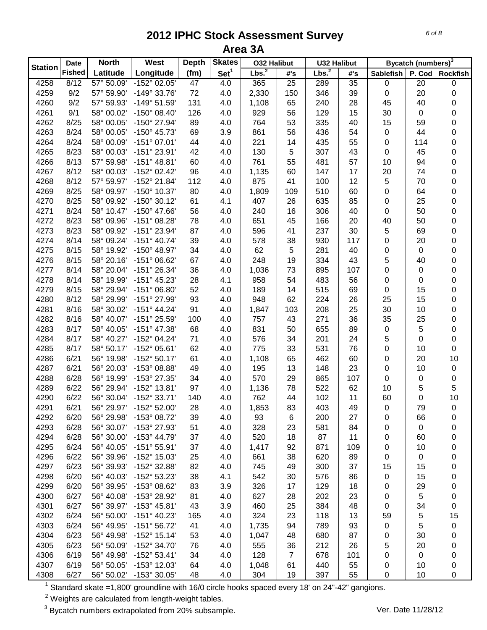|                | <b>Date</b>   | <b>North</b> | West                         | <b>Depth</b> | <b>Skates</b>    | <b>032 Halibut</b> |                | <b>U32 Halibut</b> |          |                  | Bycatch (numbers) <sup>3</sup> |                 |
|----------------|---------------|--------------|------------------------------|--------------|------------------|--------------------|----------------|--------------------|----------|------------------|--------------------------------|-----------------|
| <b>Station</b> | <b>Fished</b> | Latitude     | Longitude                    | (fm)         | Set <sup>1</sup> | Lbs. <sup>2</sup>  | #'s            | Lbs. <sup>2</sup>  | #'s      | <b>Sablefish</b> | P. Cod                         | <b>Rockfish</b> |
| 4258           | 8/12          | 57° 50.09'   | $-152^{\circ}$ 02.05'        | 47           | 4.0              | 365                | 25             | 289                | 35       | $\pmb{0}$        | 20                             | 0               |
| 4259           | 9/2           | 57° 59.90'   | -149° 33.76'                 | 72           | 4.0              | 2,330              | 150            | 346                | 39       | 0                | 20                             | 0               |
| 4260           | 9/2           | 57° 59.93'   | -149° 51.59'                 | 131          | 4.0              | 1,108              | 65             | 240                | 28       | 45               | 40                             | 0               |
| 4261           | 9/1           | 58° 00.02'   | -150° 08.40'                 | 126          | 4.0              | 929                | 56             | 129                | 15       | 30               | 0                              | 0               |
| 4262           | 8/25          | 58° 00.05'   | -150° 27.94'                 | 89           | 4.0              | 764                | 53             | 335                | 40       | 15               | 59                             | 0               |
| 4263           | 8/24          | 58° 00.05'   | -150° 45.73'                 | 69           | 3.9              | 861                | 56             | 436                | 54       | 0                | 44                             | 0               |
| 4264           | 8/24          | 58° 00.09'   | $-151^{\circ}$ 07.01'        | 44           | 4.0              | 221                | 14             | 435                | 55       | 0                | 114                            | 0               |
| 4265           | 8/23          | 58° 00.03'   | -151° 23.91'                 | 42           | 4.0              | 130                | 5              | 307                | 43       | 0                | 45                             | 0               |
| 4266           | 8/13          | 57° 59.98'   | $-151^{\circ}$ 48.81'        | 60           | 4.0              | 761                | 55             | 481                | 57       | 10               | 94                             | 0               |
| 4267           | 8/12          | 58° 00.03'   | -152° 02.42'                 | 96           | 4.0              | 1,135              | 60             | 147                | 17       | 20               | 74                             | 0               |
| 4268           | 8/12          | 57° 59.97'   | -152° 21.84'                 | 112          | 4.0              | 875                | 41             | 100                | 12       | 5                | 70                             | 0               |
| 4269           | 8/25          | 58° 09.97'   | -150° 10.37'                 | 80           | 4.0              | 1,809              | 109            | 510                | 60       | 0                | 64                             | 0               |
| 4270           | 8/25          | 58° 09.92'   | $-150^{\circ}$ 30.12'        | 61           | 4.1              | 407                | 26             | 635                | 85       | 0                | 25                             | 0               |
| 4271           | 8/24          | 58° 10.47'   | -150° 47.66'                 | 56           | 4.0              | 240                | 16             | 306                | 40       | 0                | 50                             | $\pmb{0}$       |
| 4272           | 8/23          | 58° 09.96'   | -151° 08.28'                 | 78           | 4.0              | 651                | 45             | 166                | 20       | 40               | 50                             | $\pmb{0}$       |
| 4273           | 8/23          | 58° 09.92'   | -151° 23.94'                 | 87           | 4.0              | 596                | 41             | 237                | 30       | 5                | 69                             | 0               |
| 4274           | 8/14          | 58° 09.24'   | $-151^{\circ}$ 40.74'        | 39           | 4.0              | 578                | 38             | 930                | 117      | 0                | 20                             | 0               |
| 4275           | 8/15          | 58° 19.92'   | -150° 48.97'                 | 34           | 4.0              | 62                 | 5              | 281                | 40       | 0                | 0                              | 0               |
| 4276           | 8/15          | 58° 20.16'   | -151° 06.62'                 | 67           | 4.0              | 248                | 19             | 334                | 43       | 5                | 40                             | 0               |
| 4277           | 8/14          | 58° 20.04'   | -151° 26.34'                 | 36           | 4.0              | 1,036              | 73             | 895                | 107      | 0                | 0                              | 0               |
| 4278           | 8/14          | 58° 19.99'   | $-151^{\circ}$ 45.23'        | 28           | 4.1              | 958                | 54             | 483                | 56       | 0                | 0                              | 0               |
| 4279           | 8/15          | 58° 29.94'   | $-151^{\circ}$ 06.80'        | 52           | 4.0              | 189                | 14             | 515                | 69       | 0                | 15                             | 0               |
| 4280           | 8/12          | 58° 29.99'   | -151° 27.99'                 | 93           | 4.0              | 948                | 62             | 224                | 26       | 25               | 15                             |                 |
|                |               | 58° 30.02'   | $-151^{\circ}$ 44.24'        |              |                  |                    |                |                    |          |                  |                                | 0               |
| 4281           | 8/16<br>8/16  |              | -151° 25.59'                 | 91           | 4.0              | 1,847              | 103<br>43      | 208                | 25<br>36 | 30               | 10                             | 0               |
| 4282           |               | 58° 40.07'   |                              | 100          | 4.0              | 757                |                | 271                |          | 35               | 25                             | 0               |
| 4283           | 8/17<br>8/17  | 58° 40.05'   | -151° 47.38'<br>-152° 04.24' | 68           | 4.0              | 831                | 50<br>34       | 655                | 89       | 0                | 5                              | 0               |
| 4284           |               | 58° 40.27'   |                              | 71           | 4.0              | 576                |                | 201                | 24       | 5                | 0                              | 0               |
| 4285           | 8/17          | 58° 50.17'   | -152° 05.61'                 | 62           | 4.0              | 775                | 33             | 531                | 76       | 0                | 10                             | $\pmb{0}$       |
| 4286           | 6/21          | 56° 19.98'   | $-152^{\circ}50.17'$         | 61           | 4.0              | 1,108              | 65             | 462                | 60       | 0                | 20                             | 10              |
| 4287           | 6/21          | 56° 20.03'   | -153° 08.88'                 | 49           | 4.0              | 195                | 13             | 148                | 23       | 0                | 10                             | $\pmb{0}$       |
| 4288           | 6/28          | 56° 19.99'   | -153° 27.35'                 | 34           | 4.0              | 570                | 29             | 865                | 107      | 0                | 0                              | $\pmb{0}$       |
| 4289           | 6/22          | 56° 29.94'   | -152° 13.81'                 | 97           | 4.0              | 1,136              | 78             | 522                | 62       | 10               | 5                              | $\sqrt{5}$      |
| 4290           | 6/22          | 56° 30.04'   | -152° 33.71'                 | 140          | 4.0              | 762                | 44             | 102                | 11       | 60               | 0                              | 10              |
| 4291           | 6/21          | 56° 29.97'   | -152° 52.00'                 | 28           | 4.0              | 1,853              | 83             | 403                | 49       | 0                | 79                             | $\mathbf 0$     |
| 4292           | 6/20          | 56° 29.98'   | -153° 08.72'                 | 39           | 4.0              | 93                 | 6              | 200                | 27       | 0                | 66                             | 0               |
| 4293           | 6/28          | 56° 30.07'   | -153° 27.93'                 | 51           | 4.0              | 328                | 23             | 581                | 84       | 0                | 0                              | 0               |
| 4294           | 6/28          | 56° 30.00'   | -153° 44.79'                 | 37           | 4.0              | 520                | 18             | 87                 | 11       | 0                | 60                             | 0               |
| 4295           | 6/24          | 56° 40.05'   | $-151^{\circ} 55.91'$        | 37           | 4.0              | 1,417              | 92             | 871                | 109      | 0                | 10                             | 0               |
| 4296           | 6/22          | 56° 39.96'   | -152° 15.03'                 | 25           | 4.0              | 661                | 38             | 620                | 89       | 0                | 0                              | 0               |
| 4297           | 6/23          | 56° 39.93'   | -152° 32.88'                 | 82           | 4.0              | 745                | 49             | 300                | 37       | 15               | 15                             | 0               |
| 4298           | 6/20          | 56° 40.03'   | -152° 53.23'                 | 38           | 4.1              | 542                | 30             | 576                | 86       | 0                | 15                             | 0               |
| 4299           | 6/20          | 56° 39.95'   | -153° 08.62'                 | 83           | 3.9              | 326                | 17             | 129                | 18       | 0                | 29                             | 0               |
| 4300           | 6/27          | 56° 40.08'   | -153° 28.92'                 | 81           | 4.0              | 627                | 28             | 202                | 23       | 0                | 5                              | 0               |
| 4301           | 6/27          | 56° 39.97'   | $-153^{\circ}$ 45.81'        | 43           | 3.9              | 460                | 25             | 384                | 48       | 0                | 34                             | 0               |
| 4302           | 6/24          | 56° 50.00'   | $-151^{\circ}$ 40.23'        | 165          | 4.0              | 324                | 23             | 118                | 13       | 59               | 5                              | 15              |
| 4303           | 6/24          | 56° 49.95'   | $-151^{\circ}56.72'$         | 41           | 4.0              | 1,735              | 94             | 789                | 93       | 0                | 5                              | 0               |
| 4304           | 6/23          | 56° 49.98'   | $-152°$ 15.14'               | 53           | 4.0              | 1,047              | 48             | 680                | 87       | 0                | 30                             | 0               |
| 4305           | 6/23          | 56° 50.09'   | -152° 34.70'                 | 76           | 4.0              | 555                | 36             | 212                | 26       | 5                | 20                             | 0               |
| 4306           | 6/19          | 56° 49.98'   | $-152^{\circ}53.41'$         | 34           | 4.0              | 128                | $\overline{7}$ | 678                | 101      | 0                | 0                              | 0               |
| 4307           | 6/19          | 56° 50.05'   | -153° 12.03'                 | 64           | 4.0              | 1,048              | 61             | 440                | 55       | 0                | 10                             | 0               |
| 4308           | 6/27          | 56° 50.02'   | -153° 30.05'                 | 48           | 4.0              | 304                | 19             | 397                | 55       | $\mathbf 0$      | 10                             | 0               |

Standard skate =1,800' groundline with 16/0 circle hooks spaced every 18' on 24"-42" gangions.

Weights are calculated from length-weight tables.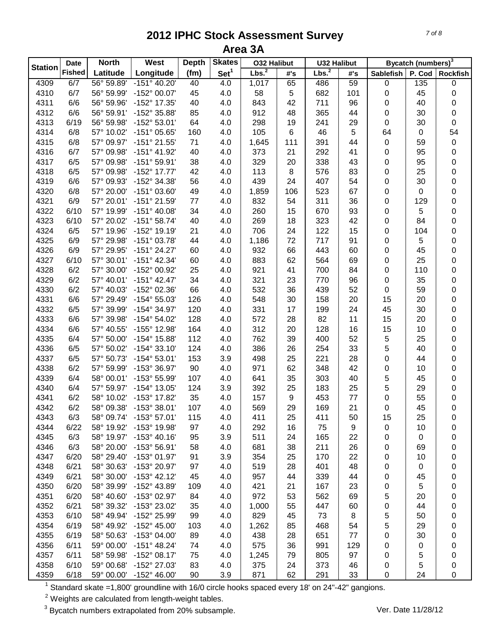| Lbs. <sup>2</sup><br><b>Fished</b><br>Set <sup>1</sup><br>Lbs. <sup>2</sup><br>Latitude<br>Longitude<br>(fm)<br>#'s<br><b>Sablefish</b><br>P. Cod<br>#'s<br>56° 59.89'<br>$-151^{\circ}$ 40.20'<br>4309<br>6/7<br>40<br>4.0<br>65<br>486<br>59<br>$\pmb{0}$<br>135<br>0<br>1,017<br>4310<br>6/7<br>56° 59.99'<br>-152° 00.07'<br>45<br>4.0<br>58<br>5<br>682<br>101<br>45<br>0<br>0<br>42<br>96<br>4311<br>6/6<br>56° 59.96'<br>-152° 17.35'<br>40<br>4.0<br>843<br>711<br>0<br>40<br>0<br>4312<br>-152° 35.88'<br>85<br>912<br>365<br>44<br>0<br>30<br>0<br>6/6<br>56° 59.91'<br>4.0<br>48<br>4313<br>6/19<br>56° 59.98'<br>-152° 53.01'<br>64<br>4.0<br>298<br>19<br>241<br>29<br>0<br>30<br>0<br>54<br>4314<br>6/8<br>-151° 05.65'<br>160<br>4.0<br>105<br>46<br>5<br>64<br>57° 10.02'<br>6<br>0<br>4315<br>6/8<br>57° 09.97'<br>$-151°$ 21.55'<br>71<br>4.0<br>1,645<br>111<br>391<br>44<br>0<br>59<br>$\pmb{0}$<br>57° 09.98'<br>$-151^{\circ}$ 41.92'<br>40<br>373<br>21<br>292<br>41<br>95<br>0<br>4316<br>6/7<br>4.0<br>0<br>4317<br>6/5<br>57° 09.98'<br>$-151^{\circ}59.91'$<br>38<br>4.0<br>329<br>20<br>338<br>43<br>0<br>95<br>0<br>42<br>4318<br>6/5<br>57° 09.98'<br>-152° 17.77'<br>4.0<br>113<br>8<br>576<br>83<br>0<br>25<br>0<br>-152° 34.38'<br>56<br>439<br>24<br>4319<br>6/6<br>57° 09.93'<br>4.0<br>407<br>54<br>0<br>30<br>0 |                | <b>North</b> | <b>West</b><br><b>Date</b> | <b>Depth</b> | <b>Skates</b> | <b>032 Halibut</b> | <b>U32 Halibut</b> |  | Bycatch (numbers) <sup>3</sup> |                 |
|------------------------------------------------------------------------------------------------------------------------------------------------------------------------------------------------------------------------------------------------------------------------------------------------------------------------------------------------------------------------------------------------------------------------------------------------------------------------------------------------------------------------------------------------------------------------------------------------------------------------------------------------------------------------------------------------------------------------------------------------------------------------------------------------------------------------------------------------------------------------------------------------------------------------------------------------------------------------------------------------------------------------------------------------------------------------------------------------------------------------------------------------------------------------------------------------------------------------------------------------------------------------------------------------------------------------------------------------------|----------------|--------------|----------------------------|--------------|---------------|--------------------|--------------------|--|--------------------------------|-----------------|
|                                                                                                                                                                                                                                                                                                                                                                                                                                                                                                                                                                                                                                                                                                                                                                                                                                                                                                                                                                                                                                                                                                                                                                                                                                                                                                                                                      | <b>Station</b> |              |                            |              |               |                    |                    |  |                                | <b>Rockfish</b> |
|                                                                                                                                                                                                                                                                                                                                                                                                                                                                                                                                                                                                                                                                                                                                                                                                                                                                                                                                                                                                                                                                                                                                                                                                                                                                                                                                                      |                |              |                            |              |               |                    |                    |  |                                |                 |
|                                                                                                                                                                                                                                                                                                                                                                                                                                                                                                                                                                                                                                                                                                                                                                                                                                                                                                                                                                                                                                                                                                                                                                                                                                                                                                                                                      |                |              |                            |              |               |                    |                    |  |                                |                 |
|                                                                                                                                                                                                                                                                                                                                                                                                                                                                                                                                                                                                                                                                                                                                                                                                                                                                                                                                                                                                                                                                                                                                                                                                                                                                                                                                                      |                |              |                            |              |               |                    |                    |  |                                |                 |
|                                                                                                                                                                                                                                                                                                                                                                                                                                                                                                                                                                                                                                                                                                                                                                                                                                                                                                                                                                                                                                                                                                                                                                                                                                                                                                                                                      |                |              |                            |              |               |                    |                    |  |                                |                 |
|                                                                                                                                                                                                                                                                                                                                                                                                                                                                                                                                                                                                                                                                                                                                                                                                                                                                                                                                                                                                                                                                                                                                                                                                                                                                                                                                                      |                |              |                            |              |               |                    |                    |  |                                |                 |
|                                                                                                                                                                                                                                                                                                                                                                                                                                                                                                                                                                                                                                                                                                                                                                                                                                                                                                                                                                                                                                                                                                                                                                                                                                                                                                                                                      |                |              |                            |              |               |                    |                    |  |                                |                 |
|                                                                                                                                                                                                                                                                                                                                                                                                                                                                                                                                                                                                                                                                                                                                                                                                                                                                                                                                                                                                                                                                                                                                                                                                                                                                                                                                                      |                |              |                            |              |               |                    |                    |  |                                |                 |
|                                                                                                                                                                                                                                                                                                                                                                                                                                                                                                                                                                                                                                                                                                                                                                                                                                                                                                                                                                                                                                                                                                                                                                                                                                                                                                                                                      |                |              |                            |              |               |                    |                    |  |                                |                 |
|                                                                                                                                                                                                                                                                                                                                                                                                                                                                                                                                                                                                                                                                                                                                                                                                                                                                                                                                                                                                                                                                                                                                                                                                                                                                                                                                                      |                |              |                            |              |               |                    |                    |  |                                |                 |
|                                                                                                                                                                                                                                                                                                                                                                                                                                                                                                                                                                                                                                                                                                                                                                                                                                                                                                                                                                                                                                                                                                                                                                                                                                                                                                                                                      |                |              |                            |              |               |                    |                    |  |                                |                 |
|                                                                                                                                                                                                                                                                                                                                                                                                                                                                                                                                                                                                                                                                                                                                                                                                                                                                                                                                                                                                                                                                                                                                                                                                                                                                                                                                                      |                |              |                            |              |               |                    |                    |  |                                |                 |
| 4320<br>6/8<br>57° 20.00'<br>$-151^{\circ}$ 03.60'<br>49<br>4.0<br>106<br>523<br>67<br>0<br>0<br>0<br>1,859                                                                                                                                                                                                                                                                                                                                                                                                                                                                                                                                                                                                                                                                                                                                                                                                                                                                                                                                                                                                                                                                                                                                                                                                                                          |                |              |                            |              |               |                    |                    |  |                                |                 |
| 36<br>4321<br>6/9<br>57° 20.01'<br>-151° 21.59'<br>77<br>4.0<br>832<br>54<br>311<br>0<br>129<br>0                                                                                                                                                                                                                                                                                                                                                                                                                                                                                                                                                                                                                                                                                                                                                                                                                                                                                                                                                                                                                                                                                                                                                                                                                                                    |                |              |                            |              |               |                    |                    |  |                                |                 |
| 34<br>93<br>5<br>4322<br>6/10<br>57° 19.99'<br>$-151^{\circ}$ 40.08'<br>4.0<br>260<br>15<br>670<br>0<br>$\pmb{0}$                                                                                                                                                                                                                                                                                                                                                                                                                                                                                                                                                                                                                                                                                                                                                                                                                                                                                                                                                                                                                                                                                                                                                                                                                                    |                |              |                            |              |               |                    |                    |  |                                |                 |
| 4323<br>$-151^{\circ}58.74'$<br>40<br>84<br>6/10<br>57° 20.02'<br>4.0<br>269<br>18<br>323<br>42<br>0<br>$\pmb{0}$                                                                                                                                                                                                                                                                                                                                                                                                                                                                                                                                                                                                                                                                                                                                                                                                                                                                                                                                                                                                                                                                                                                                                                                                                                    |                |              |                            |              |               |                    |                    |  |                                |                 |
| -152° 19.19'<br>706<br>15<br>4324<br>6/5<br>57° 19.96'<br>21<br>4.0<br>24<br>122<br>0<br>104<br>0                                                                                                                                                                                                                                                                                                                                                                                                                                                                                                                                                                                                                                                                                                                                                                                                                                                                                                                                                                                                                                                                                                                                                                                                                                                    |                |              |                            |              |               |                    |                    |  |                                |                 |
| $-151^{\circ}$ 03.78'<br>91<br>5<br>4325<br>6/9<br>57° 29.98'<br>44<br>4.0<br>1,186<br>72<br>717<br>0<br>0                                                                                                                                                                                                                                                                                                                                                                                                                                                                                                                                                                                                                                                                                                                                                                                                                                                                                                                                                                                                                                                                                                                                                                                                                                           |                |              |                            |              |               |                    |                    |  |                                |                 |
| 4326<br>66<br>443<br>60<br>6/9<br>57° 29.95'<br>$-151^{\circ} 24.27'$<br>60<br>4.0<br>932<br>0<br>45<br>0                                                                                                                                                                                                                                                                                                                                                                                                                                                                                                                                                                                                                                                                                                                                                                                                                                                                                                                                                                                                                                                                                                                                                                                                                                            |                |              |                            |              |               |                    |                    |  |                                |                 |
| 4327<br>62<br>25<br>6/10<br>57° 30.01'<br>-151° 42.34'<br>60<br>4.0<br>883<br>564<br>69<br>0<br>0                                                                                                                                                                                                                                                                                                                                                                                                                                                                                                                                                                                                                                                                                                                                                                                                                                                                                                                                                                                                                                                                                                                                                                                                                                                    |                |              |                            |              |               |                    |                    |  |                                |                 |
| 4328<br>6/2<br>-152° 00.92'<br>25<br>4.0<br>921<br>41<br>700<br>84<br>0<br>110<br>0<br>57° 30.00'                                                                                                                                                                                                                                                                                                                                                                                                                                                                                                                                                                                                                                                                                                                                                                                                                                                                                                                                                                                                                                                                                                                                                                                                                                                    |                |              |                            |              |               |                    |                    |  |                                |                 |
| 4329<br>6/2<br>57° 40.01'<br>$-151^{\circ}$ 42.47'<br>34<br>4.0<br>321<br>23<br>770<br>96<br>0<br>35<br>0                                                                                                                                                                                                                                                                                                                                                                                                                                                                                                                                                                                                                                                                                                                                                                                                                                                                                                                                                                                                                                                                                                                                                                                                                                            |                |              |                            |              |               |                    |                    |  |                                |                 |
| 4330<br>6/2<br>57° 40.03'<br>-152° 02.36'<br>66<br>4.0<br>532<br>36<br>439<br>52<br>0<br>59<br>0                                                                                                                                                                                                                                                                                                                                                                                                                                                                                                                                                                                                                                                                                                                                                                                                                                                                                                                                                                                                                                                                                                                                                                                                                                                     |                |              |                            |              |               |                    |                    |  |                                |                 |
| 4331<br>6/6<br>57° 29.49'<br>-154° 55.03'<br>126<br>4.0<br>30<br>20<br>15<br>0<br>548<br>158<br>20                                                                                                                                                                                                                                                                                                                                                                                                                                                                                                                                                                                                                                                                                                                                                                                                                                                                                                                                                                                                                                                                                                                                                                                                                                                   |                |              |                            |              |               |                    |                    |  |                                |                 |
| 4332<br>6/5<br>-154° 34.97'<br>120<br>331<br>17<br>199<br>24<br>45<br>30<br>0<br>57° 39.99'<br>4.0                                                                                                                                                                                                                                                                                                                                                                                                                                                                                                                                                                                                                                                                                                                                                                                                                                                                                                                                                                                                                                                                                                                                                                                                                                                   |                |              |                            |              |               |                    |                    |  |                                |                 |
| 4333<br>-154° 54.02'<br>128<br>572<br>28<br>82<br>11<br>15<br>0<br>6/6<br>57° 39.98'<br>4.0<br>20                                                                                                                                                                                                                                                                                                                                                                                                                                                                                                                                                                                                                                                                                                                                                                                                                                                                                                                                                                                                                                                                                                                                                                                                                                                    |                |              |                            |              |               |                    |                    |  |                                |                 |
| 312<br>4334<br>6/6<br>57° 40.55'<br>-155° 12.98'<br>164<br>4.0<br>20<br>128<br>16<br>15<br>10<br>0                                                                                                                                                                                                                                                                                                                                                                                                                                                                                                                                                                                                                                                                                                                                                                                                                                                                                                                                                                                                                                                                                                                                                                                                                                                   |                |              |                            |              |               |                    |                    |  |                                |                 |
| 112<br>52<br>5<br>4335<br>6/4<br>57° 50.00'<br>-154° 15.88'<br>762<br>39<br>400<br>25<br>0<br>4.0                                                                                                                                                                                                                                                                                                                                                                                                                                                                                                                                                                                                                                                                                                                                                                                                                                                                                                                                                                                                                                                                                                                                                                                                                                                    |                |              |                            |              |               |                    |                    |  |                                |                 |
| 33<br>5<br>4336<br>6/5<br>57° 50.02'<br>$-154^{\circ}$ 33.10'<br>124<br>386<br>26<br>254<br>40<br>0<br>4.0                                                                                                                                                                                                                                                                                                                                                                                                                                                                                                                                                                                                                                                                                                                                                                                                                                                                                                                                                                                                                                                                                                                                                                                                                                           |                |              |                            |              |               |                    |                    |  |                                |                 |
| 221<br>4337<br>6/5<br>57° 50.73'<br>-154° 53.01'<br>153<br>3.9<br>498<br>25<br>28<br>0<br>0<br>44                                                                                                                                                                                                                                                                                                                                                                                                                                                                                                                                                                                                                                                                                                                                                                                                                                                                                                                                                                                                                                                                                                                                                                                                                                                    |                |              |                            |              |               |                    |                    |  |                                |                 |
| 4338<br>6/2<br>57° 59.99'<br>-153° 36.97'<br>90<br>4.0<br>971<br>62<br>348<br>42<br>0<br>10<br>0                                                                                                                                                                                                                                                                                                                                                                                                                                                                                                                                                                                                                                                                                                                                                                                                                                                                                                                                                                                                                                                                                                                                                                                                                                                     |                |              |                            |              |               |                    |                    |  |                                |                 |
| 5<br>4339<br>6/4<br>58° 00.01'<br>-153° 55.99'<br>107<br>4.0<br>641<br>35<br>303<br>40<br>45<br>$\pmb{0}$                                                                                                                                                                                                                                                                                                                                                                                                                                                                                                                                                                                                                                                                                                                                                                                                                                                                                                                                                                                                                                                                                                                                                                                                                                            |                |              |                            |              |               |                    |                    |  |                                |                 |
| 5<br>4340<br>6/4<br>57° 59.97'<br>-154° 13.05'<br>124<br>3.9<br>392<br>25<br>183<br>25<br>29<br>$\pmb{0}$                                                                                                                                                                                                                                                                                                                                                                                                                                                                                                                                                                                                                                                                                                                                                                                                                                                                                                                                                                                                                                                                                                                                                                                                                                            |                |              |                            |              |               |                    |                    |  |                                |                 |
| 35<br>9<br>77<br>55<br>4341<br>6/2<br>58° 10.02'<br>-153° 17.82'<br>4.0<br>157<br>453<br>0<br>0                                                                                                                                                                                                                                                                                                                                                                                                                                                                                                                                                                                                                                                                                                                                                                                                                                                                                                                                                                                                                                                                                                                                                                                                                                                      |                |              |                            |              |               |                    |                    |  |                                |                 |
| 4342<br>107<br>569<br>29<br>169<br>21<br>0<br>45<br>0<br>6/2<br>58° 09.38'<br>-153° 38.01'<br>4.0                                                                                                                                                                                                                                                                                                                                                                                                                                                                                                                                                                                                                                                                                                                                                                                                                                                                                                                                                                                                                                                                                                                                                                                                                                                    |                |              |                            |              |               |                    |                    |  |                                |                 |
| 25<br>4343<br>6/3<br>58° 09.74'<br>$-153^{\circ}57.01'$<br>115<br>4.0<br>411<br>411<br>50<br>15<br>25<br>0                                                                                                                                                                                                                                                                                                                                                                                                                                                                                                                                                                                                                                                                                                                                                                                                                                                                                                                                                                                                                                                                                                                                                                                                                                           |                |              |                            |              |               |                    |                    |  |                                |                 |
| 4344<br>58° 19.92'<br>-153° 19.98'<br>97<br>4.0<br>16<br>75<br>9<br>6/22<br>292<br>0<br>10<br>0                                                                                                                                                                                                                                                                                                                                                                                                                                                                                                                                                                                                                                                                                                                                                                                                                                                                                                                                                                                                                                                                                                                                                                                                                                                      |                |              |                            |              |               |                    |                    |  |                                |                 |
| 3.9<br>4345<br>6/3<br>58° 19.97'<br>$-153^{\circ}$ 40.16'<br>95<br>511<br>24<br>165<br>22<br>0<br>0<br>0                                                                                                                                                                                                                                                                                                                                                                                                                                                                                                                                                                                                                                                                                                                                                                                                                                                                                                                                                                                                                                                                                                                                                                                                                                             |                |              |                            |              |               |                    |                    |  |                                |                 |
| 4346<br>4.0<br>26<br>6/3<br>58° 20.00'<br>-153° 56.91'<br>58<br>681<br>38<br>211<br>0<br>69<br>0                                                                                                                                                                                                                                                                                                                                                                                                                                                                                                                                                                                                                                                                                                                                                                                                                                                                                                                                                                                                                                                                                                                                                                                                                                                     |                |              |                            |              |               |                    |                    |  |                                |                 |
| 4347<br>-153° 01.97'<br>3.9<br>6/20<br>58° 29.40'<br>91<br>354<br>25<br>170<br>22<br>0<br>10<br>0                                                                                                                                                                                                                                                                                                                                                                                                                                                                                                                                                                                                                                                                                                                                                                                                                                                                                                                                                                                                                                                                                                                                                                                                                                                    |                |              |                            |              |               |                    |                    |  |                                |                 |
| 58° 30.63'<br>-153° 20.97'<br>4.0<br>4348<br>6/21<br>97<br>519<br>28<br>401<br>48<br>0<br>0<br>0                                                                                                                                                                                                                                                                                                                                                                                                                                                                                                                                                                                                                                                                                                                                                                                                                                                                                                                                                                                                                                                                                                                                                                                                                                                     |                |              |                            |              |               |                    |                    |  |                                |                 |
| 4349<br>6/21<br>58° 30.00'<br>$-153^{\circ}$ 42.12'<br>45<br>4.0<br>957<br>44<br>339<br>44<br>0<br>45<br>0                                                                                                                                                                                                                                                                                                                                                                                                                                                                                                                                                                                                                                                                                                                                                                                                                                                                                                                                                                                                                                                                                                                                                                                                                                           |                |              |                            |              |               |                    |                    |  |                                |                 |
| 6/20<br>58° 39.99'<br>-152° 43.89'<br>5<br>4350<br>109<br>4.0<br>421<br>21<br>167<br>23<br>0<br>0                                                                                                                                                                                                                                                                                                                                                                                                                                                                                                                                                                                                                                                                                                                                                                                                                                                                                                                                                                                                                                                                                                                                                                                                                                                    |                |              |                            |              |               |                    |                    |  |                                |                 |
| 4351<br>6/20<br>972<br>53<br>5<br>58° 40.60'<br>-153° 02.97'<br>84<br>4.0<br>562<br>69<br>20<br>0                                                                                                                                                                                                                                                                                                                                                                                                                                                                                                                                                                                                                                                                                                                                                                                                                                                                                                                                                                                                                                                                                                                                                                                                                                                    |                |              |                            |              |               |                    |                    |  |                                |                 |
| 4352<br>6/21<br>-153° 23.02'<br>55<br>0<br>58° 39.32'<br>35<br>4.0<br>1,000<br>447<br>60<br>44<br>0                                                                                                                                                                                                                                                                                                                                                                                                                                                                                                                                                                                                                                                                                                                                                                                                                                                                                                                                                                                                                                                                                                                                                                                                                                                  |                |              |                            |              |               |                    |                    |  |                                |                 |
| 5<br>4353<br>6/10<br>-152° 25.99'<br>829<br>8<br>58° 49.94'<br>99<br>4.0<br>45<br>73<br>50<br>0                                                                                                                                                                                                                                                                                                                                                                                                                                                                                                                                                                                                                                                                                                                                                                                                                                                                                                                                                                                                                                                                                                                                                                                                                                                      |                |              |                            |              |               |                    |                    |  |                                |                 |
| 5<br>4354<br>6/19<br>-152° 45.00'<br>54<br>58° 49.92'<br>103<br>4.0<br>1,262<br>85<br>468<br>29                                                                                                                                                                                                                                                                                                                                                                                                                                                                                                                                                                                                                                                                                                                                                                                                                                                                                                                                                                                                                                                                                                                                                                                                                                                      |                |              |                            |              |               |                    |                    |  |                                |                 |
| 0<br>4355<br>6/19<br>-153° 04.00'<br>4.0<br>438<br>28<br>651<br>0<br>58° 50.63'<br>89<br>77<br>30                                                                                                                                                                                                                                                                                                                                                                                                                                                                                                                                                                                                                                                                                                                                                                                                                                                                                                                                                                                                                                                                                                                                                                                                                                                    |                |              |                            |              |               |                    |                    |  |                                |                 |
| 0<br>4356<br>$-151^{\circ}$ 48.24'<br>4.0<br>575<br>6/11<br>59° 00.00'<br>74<br>36<br>991<br>129                                                                                                                                                                                                                                                                                                                                                                                                                                                                                                                                                                                                                                                                                                                                                                                                                                                                                                                                                                                                                                                                                                                                                                                                                                                     |                |              |                            |              |               |                    |                    |  |                                |                 |
| 0<br>0<br>0<br>4357<br>$-152^{\circ}$ 08.17'<br>4.0<br>97<br>6/11<br>79                                                                                                                                                                                                                                                                                                                                                                                                                                                                                                                                                                                                                                                                                                                                                                                                                                                                                                                                                                                                                                                                                                                                                                                                                                                                              |                |              |                            |              |               |                    |                    |  |                                |                 |
| 5<br>58° 59.98'<br>75<br>1,245<br>805<br>0<br>0<br>4358<br>-152° 27.03'<br>83<br>4.0<br>373<br>46<br>5<br>6/10<br>59° 00.68'<br>375<br>24                                                                                                                                                                                                                                                                                                                                                                                                                                                                                                                                                                                                                                                                                                                                                                                                                                                                                                                                                                                                                                                                                                                                                                                                            |                |              |                            |              |               |                    |                    |  |                                |                 |
| 0<br>0<br>62<br>4359<br>6/18<br>59° 00.00'<br>$-152^{\circ}$ 46.00'<br>3.9<br>291<br>33<br>$\mathbf 0$<br>24<br>$\pmb{0}$<br>90<br>871                                                                                                                                                                                                                                                                                                                                                                                                                                                                                                                                                                                                                                                                                                                                                                                                                                                                                                                                                                                                                                                                                                                                                                                                               |                |              |                            |              |               |                    |                    |  |                                |                 |

Standard skate =1,800' groundline with 16/0 circle hooks spaced every 18' on 24"-42" gangions.

Weights are calculated from length-weight tables.

<sup>3</sup> Bycatch numbers extrapolated from 20% subsample. Ver. Date 11/28/12

*7 of 8*